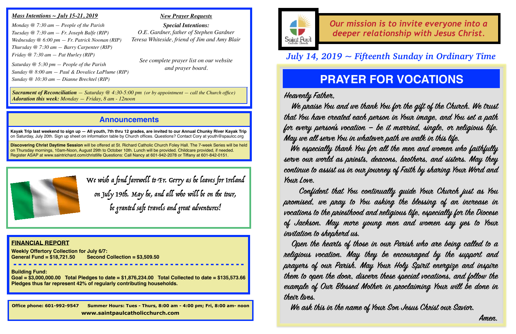### **Announcements**

**Kayak Trip last weekend to sign up — All youth, 7th thru 12 grades, are invited to our Annual Chunky River Kayak Trip**  on Saturday, July 20th. Sign up sheet on information table by Church offices. Questions? Contact Cory at youth@spaulcc.org

**Discovering Christ Daytime Session** will be offered at St. Richard Catholic Church Foley Hall. The 7-week Series will be held on Thursday mornings, 10am-Noon, August 29th to October 10th. Lunch will be provided. Childcare provided, if needed. Register ASAP at [www.saintrichard.com/christlife](http://www.saintrichard.com/christlife) Questions: Call Nancy at 601-942-2078 or Tiffany at 601-842-0151.



### *Our mission is to invite everyone into a deeper relationship with Jesus Christ.*

*Amen.* Amen.

### *Mass Intentions ~ July 15-21, 2019*

*Monday @ 7:30 am — People of the Parish Tuesday @ 7:30 am — Fr. Joseph Balfe (RIP) Wednesday @ 6:00 pm — Fr. Patrick Noonan (RIP) Thursday @ 7:30 am — Barry Carpenter (RIP) Friday @ 7:30 am — Pat Hurley (RIP)*

*Saturday @ 5:30 pm — People of the Parish Sunday @ 8:00 am — Paul & Dovalice LaPlume (RIP) Sunday @ 10:30 am — Dianne Brechtel (RIP)*

#### *New Prayer Requests*

*Special Intentions: O.E. Gardner, father of Stephen Gardner Teresa Whiteside, friend of Jim and Amy Blair*

*See complete prayer list on our website and prayer board.*

**Office phone: 601-992-9547 Summer Hours: Tues - Thurs, 8:00 am - 4:00 pm; Fri, 8:00 am- noon www.saintpaulcatholicchurch.com**



#### **FINANCIAL REPORT**

**Weekly Offertory Collection for July 6/7: General Fund = \$18,721.50 Second Collection = \$3,509.50** 

**Building Fund:** 

**Goal = \$3,000,000.00 Total Pledges to date = \$1,876,234.00 Total Collected to date = \$135,573.66 Pledges thus far represent 42% of regularly contributing households.**

### *July 14, 2019 ~ Fifteenth Sunday in Ordinary Time*

*Sacrament of Reconciliation — Saturday @ 4:30-5:00 pm (or by appointment — call the Church office) Adoration this week: Monday — Friday, 8 am - 12noon*

> We wish a fond farewell to Fr. Gerry as he leaves for Ireland on July 19th. May he, and all who will be on the tour, be granted safe travels and great adventures!

**Heavenly Fathe,** 

 **We praise Yo and we thank Yo fo the gift of the Chuch. We tust that Yo have ceated each peso in Yor image, and Yo set a path fo evey peso's vocatio — be it maied, single, o religios life. May we all seve Yo in whateve path we walk in this life. We especially thank Yo fo all the men and woen who faithfully seve or wold as priests, deacos, brothes, and sistes. May they cotinue to assist us in or jorney of Faith by shaing Yor Wod and Yor Loe.** 

 **Cofident that Yo cotinually guide Yor Chuch just as Yo proised, we pray to Yo asking the blessing of an incease in vocatios to the priesthod and religios life, especially fo the Diocese of Jackso. May moe yong men and woen say yes to Yor invitatio to shephed us.** 

 **Open the heats of those in or Paish who ae being called to a religios vocatio. May they be encoraged by the suppot and prayes of or Paish. May Yor Hoy Spiit enegize and inspie them to oen the dor, discen these special vocatios, and folo the eample of Ou Blessed Mothe in proclaiming Yor will be doe in thei lives.** 

 **We ask this in the name of Yor So Jesus Christ or Savio.** 

## **PRAYER FOR VOCATIONS**